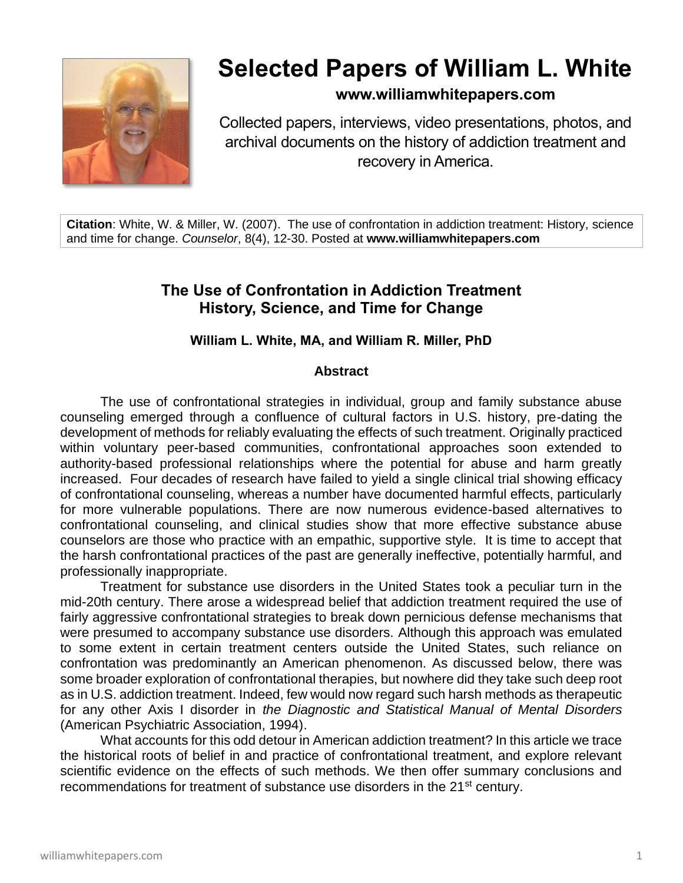

# **Selected Papers of William L. White**

# **www.williamwhitepapers.com**

Collected papers, interviews, video presentations, photos, and archival documents on the history of addiction treatment and recovery in America.

**Citation**: White, W. & Miller, W. (2007). The use of confrontation in addiction treatment: History, science and time for change. *Counselor*, 8(4), 12-30. Posted at **www.williamwhitepapers.com**

# **The Use of Confrontation in Addiction Treatment History, Science, and Time for Change**

# **William L. White, MA, and William R. Miller, PhD**

#### **Abstract**

The use of confrontational strategies in individual, group and family substance abuse counseling emerged through a confluence of cultural factors in U.S. history, pre-dating the development of methods for reliably evaluating the effects of such treatment. Originally practiced within voluntary peer-based communities, confrontational approaches soon extended to authority-based professional relationships where the potential for abuse and harm greatly increased. Four decades of research have failed to yield a single clinical trial showing efficacy of confrontational counseling, whereas a number have documented harmful effects, particularly for more vulnerable populations. There are now numerous evidence-based alternatives to confrontational counseling, and clinical studies show that more effective substance abuse counselors are those who practice with an empathic, supportive style. It is time to accept that the harsh confrontational practices of the past are generally ineffective, potentially harmful, and professionally inappropriate.

Treatment for substance use disorders in the United States took a peculiar turn in the mid-20th century. There arose a widespread belief that addiction treatment required the use of fairly aggressive confrontational strategies to break down pernicious defense mechanisms that were presumed to accompany substance use disorders. Although this approach was emulated to some extent in certain treatment centers outside the United States, such reliance on confrontation was predominantly an American phenomenon. As discussed below, there was some broader exploration of confrontational therapies, but nowhere did they take such deep root as in U.S. addiction treatment. Indeed, few would now regard such harsh methods as therapeutic for any other Axis I disorder in *the Diagnostic and Statistical Manual of Mental Disorders*  (American Psychiatric Association, 1994).

What accounts for this odd detour in American addiction treatment? In this article we trace the historical roots of belief in and practice of confrontational treatment, and explore relevant scientific evidence on the effects of such methods. We then offer summary conclusions and recommendations for treatment of substance use disorders in the 21<sup>st</sup> century.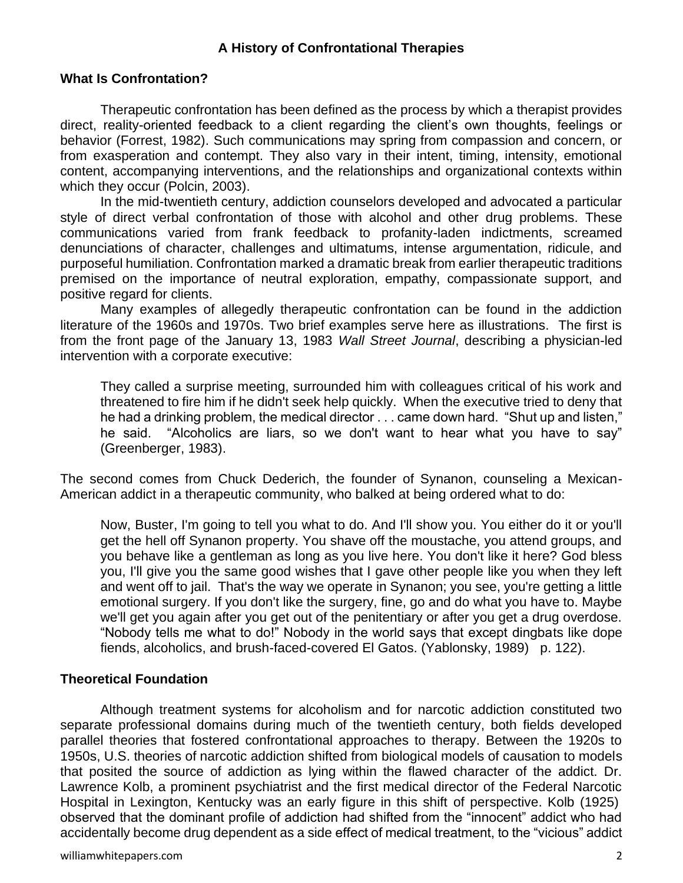# **A History of Confrontational Therapies**

#### **What Is Confrontation?**

Therapeutic confrontation has been defined as the process by which a therapist provides direct, reality-oriented feedback to a client regarding the client's own thoughts, feelings or behavior (Forrest, 1982). Such communications may spring from compassion and concern, or from exasperation and contempt. They also vary in their intent, timing, intensity, emotional content, accompanying interventions, and the relationships and organizational contexts within which they occur (Polcin, 2003).

In the mid-twentieth century, addiction counselors developed and advocated a particular style of direct verbal confrontation of those with alcohol and other drug problems. These communications varied from frank feedback to profanity-laden indictments, screamed denunciations of character, challenges and ultimatums, intense argumentation, ridicule, and purposeful humiliation. Confrontation marked a dramatic break from earlier therapeutic traditions premised on the importance of neutral exploration, empathy, compassionate support, and positive regard for clients.

Many examples of allegedly therapeutic confrontation can be found in the addiction literature of the 1960s and 1970s. Two brief examples serve here as illustrations. The first is from the front page of the January 13, 1983 *Wall Street Journal*, describing a physician-led intervention with a corporate executive:

They called a surprise meeting, surrounded him with colleagues critical of his work and threatened to fire him if he didn't seek help quickly. When the executive tried to deny that he had a drinking problem, the medical director . . . came down hard. "Shut up and listen," he said. "Alcoholics are liars, so we don't want to hear what you have to say" (Greenberger, 1983).

The second comes from Chuck Dederich, the founder of Synanon, counseling a Mexican-American addict in a therapeutic community, who balked at being ordered what to do:

Now, Buster, I'm going to tell you what to do. And I'll show you. You either do it or you'll get the hell off Synanon property. You shave off the moustache, you attend groups, and you behave like a gentleman as long as you live here. You don't like it here? God bless you, I'll give you the same good wishes that I gave other people like you when they left and went off to jail. That's the way we operate in Synanon; you see, you're getting a little emotional surgery. If you don't like the surgery, fine, go and do what you have to. Maybe we'll get you again after you get out of the penitentiary or after you get a drug overdose. "Nobody tells me what to do!" Nobody in the world says that except dingbats like dope fiends, alcoholics, and brush-faced-covered El Gatos. (Yablonsky, 1989) p. 122).

# **Theoretical Foundation**

Although treatment systems for alcoholism and for narcotic addiction constituted two separate professional domains during much of the twentieth century, both fields developed parallel theories that fostered confrontational approaches to therapy. Between the 1920s to 1950s, U.S. theories of narcotic addiction shifted from biological models of causation to models that posited the source of addiction as lying within the flawed character of the addict. Dr. Lawrence Kolb, a prominent psychiatrist and the first medical director of the Federal Narcotic Hospital in Lexington, Kentucky was an early figure in this shift of perspective. Kolb (1925) observed that the dominant profile of addiction had shifted from the "innocent" addict who had accidentally become drug dependent as a side effect of medical treatment, to the "vicious" addict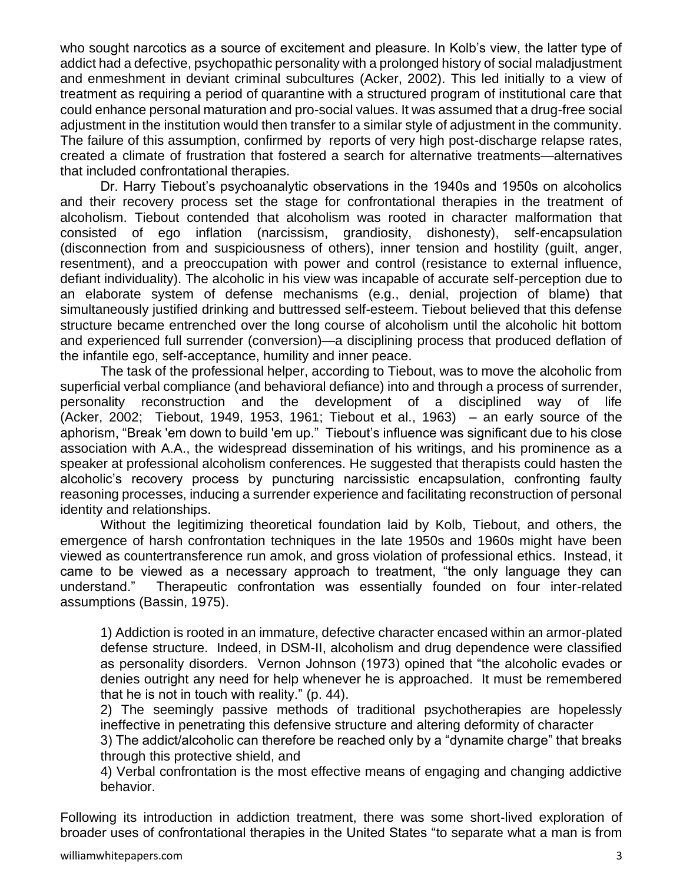who sought narcotics as a source of excitement and pleasure. In Kolb's view, the latter type of addict had a defective, psychopathic personality with a prolonged history of social maladjustment and enmeshment in deviant criminal subcultures (Acker, 2002). This led initially to a view of treatment as requiring a period of quarantine with a structured program of institutional care that could enhance personal maturation and pro-social values. It was assumed that a drug-free social adjustment in the institution would then transfer to a similar style of adjustment in the community. The failure of this assumption, confirmed by reports of very high post-discharge relapse rates, created a climate of frustration that fostered a search for alternative treatments—alternatives that included confrontational therapies.

Dr. Harry Tiebout's psychoanalytic observations in the 1940s and 1950s on alcoholics and their recovery process set the stage for confrontational therapies in the treatment of alcoholism. Tiebout contended that alcoholism was rooted in character malformation that consisted of ego inflation (narcissism, grandiosity, dishonesty), self-encapsulation (disconnection from and suspiciousness of others), inner tension and hostility (guilt, anger, resentment), and a preoccupation with power and control (resistance to external influence, defiant individuality). The alcoholic in his view was incapable of accurate self-perception due to an elaborate system of defense mechanisms (e.g., denial, projection of blame) that simultaneously justified drinking and buttressed self-esteem. Tiebout believed that this defense structure became entrenched over the long course of alcoholism until the alcoholic hit bottom and experienced full surrender (conversion)—a disciplining process that produced deflation of the infantile ego, self-acceptance, humility and inner peace.

The task of the professional helper, according to Tiebout, was to move the alcoholic from superficial verbal compliance (and behavioral defiance) into and through a process of surrender, personality reconstruction and the development of a disciplined way of life (Acker, 2002; Tiebout, 1949, 1953, 1961; Tiebout et al., 1963) – an early source of the aphorism, "Break 'em down to build 'em up." Tiebout's influence was significant due to his close association with A.A., the widespread dissemination of his writings, and his prominence as a speaker at professional alcoholism conferences. He suggested that therapists could hasten the alcoholic's recovery process by puncturing narcissistic encapsulation, confronting faulty reasoning processes, inducing a surrender experience and facilitating reconstruction of personal identity and relationships.

 Without the legitimizing theoretical foundation laid by Kolb, Tiebout, and others, the emergence of harsh confrontation techniques in the late 1950s and 1960s might have been viewed as countertransference run amok, and gross violation of professional ethics. Instead, it came to be viewed as a necessary approach to treatment, "the only language they can understand." Therapeutic confrontation was essentially founded on four inter-related assumptions (Bassin, 1975).

1) Addiction is rooted in an immature, defective character encased within an armor-plated defense structure. Indeed, in DSM-II, alcoholism and drug dependence were classified as personality disorders. Vernon Johnson (1973) opined that "the alcoholic evades or denies outright any need for help whenever he is approached. It must be remembered that he is not in touch with reality." (p. 44).

2) The seemingly passive methods of traditional psychotherapies are hopelessly ineffective in penetrating this defensive structure and altering deformity of character

3) The addict/alcoholic can therefore be reached only by a "dynamite charge" that breaks through this protective shield, and

4) Verbal confrontation is the most effective means of engaging and changing addictive behavior.

Following its introduction in addiction treatment, there was some short-lived exploration of broader uses of confrontational therapies in the United States "to separate what a man is from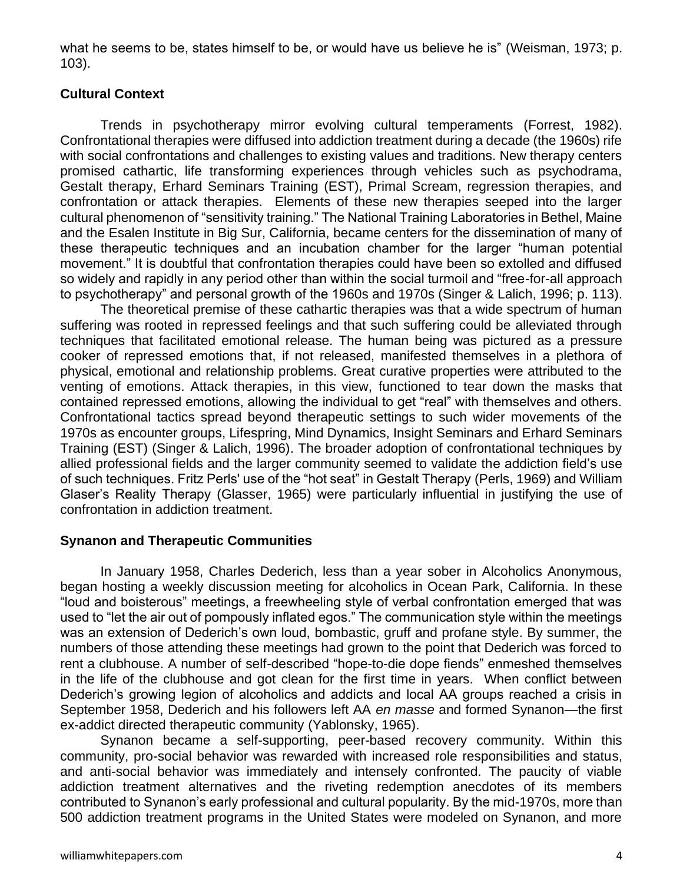what he seems to be, states himself to be, or would have us believe he is" (Weisman, 1973; p. 103).

# **Cultural Context**

Trends in psychotherapy mirror evolving cultural temperaments (Forrest, 1982). Confrontational therapies were diffused into addiction treatment during a decade (the 1960s) rife with social confrontations and challenges to existing values and traditions. New therapy centers promised cathartic, life transforming experiences through vehicles such as psychodrama, Gestalt therapy, Erhard Seminars Training (EST), Primal Scream, regression therapies, and confrontation or attack therapies. Elements of these new therapies seeped into the larger cultural phenomenon of "sensitivity training." The National Training Laboratories in Bethel, Maine and the Esalen Institute in Big Sur, California, became centers for the dissemination of many of these therapeutic techniques and an incubation chamber for the larger "human potential movement." It is doubtful that confrontation therapies could have been so extolled and diffused so widely and rapidly in any period other than within the social turmoil and "free-for-all approach to psychotherapy" and personal growth of the 1960s and 1970s (Singer & Lalich, 1996; p. 113).

The theoretical premise of these cathartic therapies was that a wide spectrum of human suffering was rooted in repressed feelings and that such suffering could be alleviated through techniques that facilitated emotional release. The human being was pictured as a pressure cooker of repressed emotions that, if not released, manifested themselves in a plethora of physical, emotional and relationship problems. Great curative properties were attributed to the venting of emotions. Attack therapies, in this view, functioned to tear down the masks that contained repressed emotions, allowing the individual to get "real" with themselves and others. Confrontational tactics spread beyond therapeutic settings to such wider movements of the 1970s as encounter groups, Lifespring, Mind Dynamics, Insight Seminars and Erhard Seminars Training (EST) (Singer & Lalich, 1996). The broader adoption of confrontational techniques by allied professional fields and the larger community seemed to validate the addiction field's use of such techniques. Fritz Perls' use of the "hot seat" in Gestalt Therapy (Perls, 1969) and William Glaser's Reality Therapy (Glasser, 1965) were particularly influential in justifying the use of confrontation in addiction treatment.

# **Synanon and Therapeutic Communities**

In January 1958, Charles Dederich, less than a year sober in Alcoholics Anonymous, began hosting a weekly discussion meeting for alcoholics in Ocean Park, California. In these "loud and boisterous" meetings, a freewheeling style of verbal confrontation emerged that was used to "let the air out of pompously inflated egos." The communication style within the meetings was an extension of Dederich's own loud, bombastic, gruff and profane style. By summer, the numbers of those attending these meetings had grown to the point that Dederich was forced to rent a clubhouse. A number of self-described "hope-to-die dope fiends" enmeshed themselves in the life of the clubhouse and got clean for the first time in years. When conflict between Dederich's growing legion of alcoholics and addicts and local AA groups reached a crisis in September 1958, Dederich and his followers left AA *en masse* and formed Synanon—the first ex-addict directed therapeutic community (Yablonsky, 1965).

Synanon became a self-supporting, peer-based recovery community. Within this community, pro-social behavior was rewarded with increased role responsibilities and status, and anti-social behavior was immediately and intensely confronted. The paucity of viable addiction treatment alternatives and the riveting redemption anecdotes of its members contributed to Synanon's early professional and cultural popularity. By the mid-1970s, more than 500 addiction treatment programs in the United States were modeled on Synanon, and more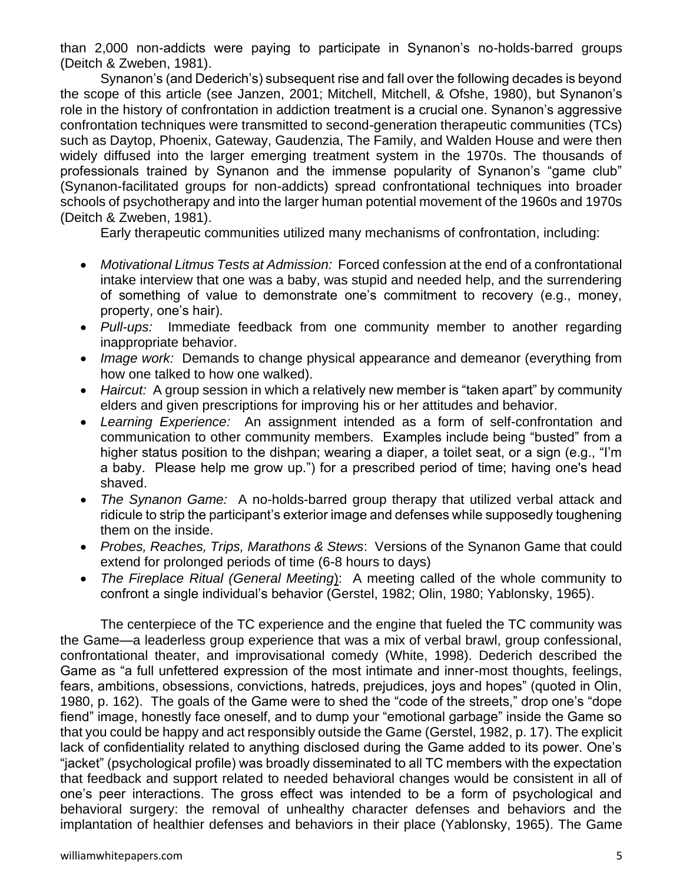than 2,000 non-addicts were paying to participate in Synanon's no-holds-barred groups (Deitch & Zweben, 1981).

Synanon's (and Dederich's) subsequent rise and fall over the following decades is beyond the scope of this article (see Janzen, 2001; Mitchell, Mitchell, & Ofshe, 1980), but Synanon's role in the history of confrontation in addiction treatment is a crucial one. Synanon's aggressive confrontation techniques were transmitted to second-generation therapeutic communities (TCs) such as Daytop, Phoenix, Gateway, Gaudenzia, The Family, and Walden House and were then widely diffused into the larger emerging treatment system in the 1970s. The thousands of professionals trained by Synanon and the immense popularity of Synanon's "game club" (Synanon-facilitated groups for non-addicts) spread confrontational techniques into broader schools of psychotherapy and into the larger human potential movement of the 1960s and 1970s (Deitch & Zweben, 1981).

Early therapeutic communities utilized many mechanisms of confrontation, including:

- *Motivational Litmus Tests at Admission:* Forced confession at the end of a confrontational intake interview that one was a baby, was stupid and needed help, and the surrendering of something of value to demonstrate one's commitment to recovery (e.g., money, property, one's hair).
- *Pull-ups:* Immediate feedback from one community member to another regarding inappropriate behavior.
- *Image work:* Demands to change physical appearance and demeanor (everything from how one talked to how one walked).
- *Haircut:* A group session in which a relatively new member is "taken apart" by community elders and given prescriptions for improving his or her attitudes and behavior.
- *Learning Experience:* An assignment intended as a form of self-confrontation and communication to other community members. Examples include being "busted" from a higher status position to the dishpan; wearing a diaper, a toilet seat, or a sign (e.g., "I'm a baby. Please help me grow up.") for a prescribed period of time; having one's head shaved.
- *The Synanon Game:* A no-holds-barred group therapy that utilized verbal attack and ridicule to strip the participant's exterior image and defenses while supposedly toughening them on the inside.
- *Probes, Reaches, Trips, Marathons & Stews*: Versions of the Synanon Game that could extend for prolonged periods of time (6-8 hours to days)
- *The Fireplace Ritual (General Meeting*): A meeting called of the whole community to confront a single individual's behavior (Gerstel, 1982; Olin, 1980; Yablonsky, 1965).

The centerpiece of the TC experience and the engine that fueled the TC community was the Game—a leaderless group experience that was a mix of verbal brawl, group confessional, confrontational theater, and improvisational comedy (White, 1998). Dederich described the Game as "a full unfettered expression of the most intimate and inner-most thoughts, feelings, fears, ambitions, obsessions, convictions, hatreds, prejudices, joys and hopes" (quoted in Olin, 1980, p. 162). The goals of the Game were to shed the "code of the streets," drop one's "dope fiend" image, honestly face oneself, and to dump your "emotional garbage" inside the Game so that you could be happy and act responsibly outside the Game (Gerstel, 1982, p. 17). The explicit lack of confidentiality related to anything disclosed during the Game added to its power. One's "jacket" (psychological profile) was broadly disseminated to all TC members with the expectation that feedback and support related to needed behavioral changes would be consistent in all of one's peer interactions. The gross effect was intended to be a form of psychological and behavioral surgery: the removal of unhealthy character defenses and behaviors and the implantation of healthier defenses and behaviors in their place (Yablonsky, 1965). The Game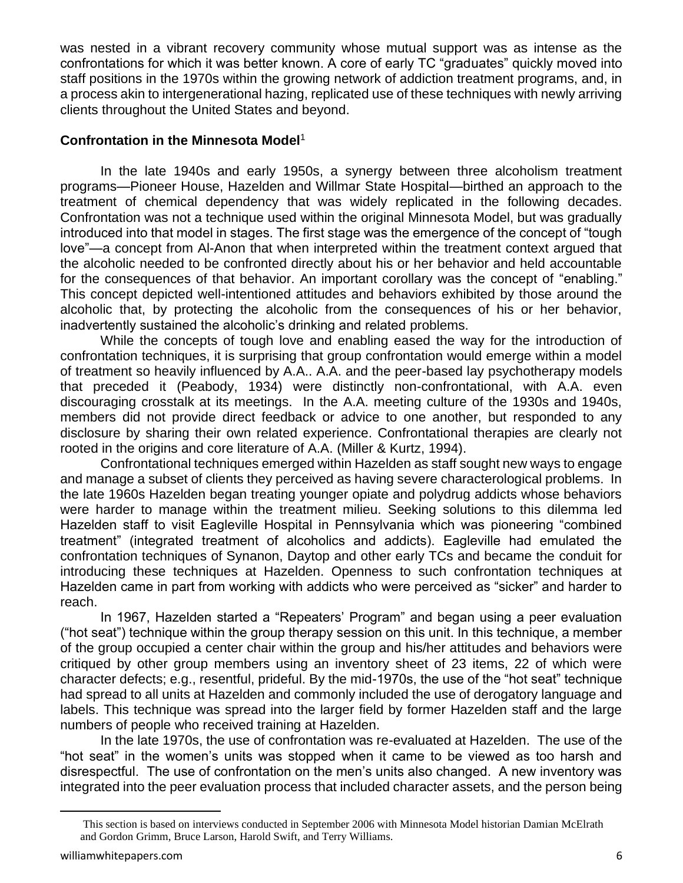was nested in a vibrant recovery community whose mutual support was as intense as the confrontations for which it was better known. A core of early TC "graduates" quickly moved into staff positions in the 1970s within the growing network of addiction treatment programs, and, in a process akin to intergenerational hazing, replicated use of these techniques with newly arriving clients throughout the United States and beyond.

#### **Confrontation in the Minnesota Model**<sup>1</sup>

In the late 1940s and early 1950s, a synergy between three alcoholism treatment programs—Pioneer House, Hazelden and Willmar State Hospital—birthed an approach to the treatment of chemical dependency that was widely replicated in the following decades. Confrontation was not a technique used within the original Minnesota Model, but was gradually introduced into that model in stages. The first stage was the emergence of the concept of "tough love"—a concept from Al-Anon that when interpreted within the treatment context argued that the alcoholic needed to be confronted directly about his or her behavior and held accountable for the consequences of that behavior. An important corollary was the concept of "enabling." This concept depicted well-intentioned attitudes and behaviors exhibited by those around the alcoholic that, by protecting the alcoholic from the consequences of his or her behavior, inadvertently sustained the alcoholic's drinking and related problems.

While the concepts of tough love and enabling eased the way for the introduction of confrontation techniques, it is surprising that group confrontation would emerge within a model of treatment so heavily influenced by A.A.. A.A. and the peer-based lay psychotherapy models that preceded it (Peabody, 1934) were distinctly non-confrontational, with A.A. even discouraging crosstalk at its meetings. In the A.A. meeting culture of the 1930s and 1940s, members did not provide direct feedback or advice to one another, but responded to any disclosure by sharing their own related experience. Confrontational therapies are clearly not rooted in the origins and core literature of A.A. (Miller & Kurtz, 1994).

Confrontational techniques emerged within Hazelden as staff sought new ways to engage and manage a subset of clients they perceived as having severe characterological problems. In the late 1960s Hazelden began treating younger opiate and polydrug addicts whose behaviors were harder to manage within the treatment milieu. Seeking solutions to this dilemma led Hazelden staff to visit Eagleville Hospital in Pennsylvania which was pioneering "combined treatment" (integrated treatment of alcoholics and addicts). Eagleville had emulated the confrontation techniques of Synanon, Daytop and other early TCs and became the conduit for introducing these techniques at Hazelden. Openness to such confrontation techniques at Hazelden came in part from working with addicts who were perceived as "sicker" and harder to reach.

In 1967, Hazelden started a "Repeaters' Program" and began using a peer evaluation ("hot seat") technique within the group therapy session on this unit. In this technique, a member of the group occupied a center chair within the group and his/her attitudes and behaviors were critiqued by other group members using an inventory sheet of 23 items, 22 of which were character defects; e.g., resentful, prideful. By the mid-1970s, the use of the "hot seat" technique had spread to all units at Hazelden and commonly included the use of derogatory language and labels. This technique was spread into the larger field by former Hazelden staff and the large numbers of people who received training at Hazelden.

In the late 1970s, the use of confrontation was re-evaluated at Hazelden. The use of the "hot seat" in the women's units was stopped when it came to be viewed as too harsh and disrespectful. The use of confrontation on the men's units also changed. A new inventory was integrated into the peer evaluation process that included character assets, and the person being

This section is based on interviews conducted in September 2006 with Minnesota Model historian Damian McElrath and Gordon Grimm, Bruce Larson, Harold Swift, and Terry Williams.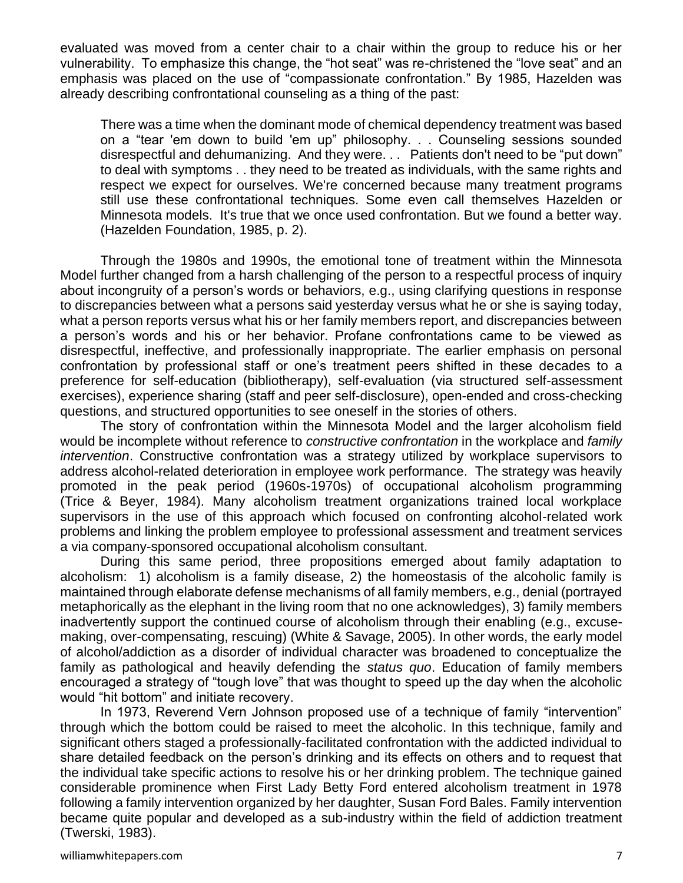evaluated was moved from a center chair to a chair within the group to reduce his or her vulnerability. To emphasize this change, the "hot seat" was re-christened the "love seat" and an emphasis was placed on the use of "compassionate confrontation." By 1985, Hazelden was already describing confrontational counseling as a thing of the past:

There was a time when the dominant mode of chemical dependency treatment was based on a "tear 'em down to build 'em up" philosophy. . . Counseling sessions sounded disrespectful and dehumanizing. And they were. . . Patients don't need to be "put down" to deal with symptoms . . they need to be treated as individuals, with the same rights and respect we expect for ourselves. We're concerned because many treatment programs still use these confrontational techniques. Some even call themselves Hazelden or Minnesota models. It's true that we once used confrontation. But we found a better way. (Hazelden Foundation, 1985, p. 2).

Through the 1980s and 1990s, the emotional tone of treatment within the Minnesota Model further changed from a harsh challenging of the person to a respectful process of inquiry about incongruity of a person's words or behaviors, e.g., using clarifying questions in response to discrepancies between what a persons said yesterday versus what he or she is saying today, what a person reports versus what his or her family members report, and discrepancies between a person's words and his or her behavior. Profane confrontations came to be viewed as disrespectful, ineffective, and professionally inappropriate. The earlier emphasis on personal confrontation by professional staff or one's treatment peers shifted in these decades to a preference for self-education (bibliotherapy), self-evaluation (via structured self-assessment exercises), experience sharing (staff and peer self-disclosure), open-ended and cross-checking questions, and structured opportunities to see oneself in the stories of others.

The story of confrontation within the Minnesota Model and the larger alcoholism field would be incomplete without reference to *constructive confrontation* in the workplace and *family intervention*. Constructive confrontation was a strategy utilized by workplace supervisors to address alcohol-related deterioration in employee work performance. The strategy was heavily promoted in the peak period (1960s-1970s) of occupational alcoholism programming (Trice & Beyer, 1984). Many alcoholism treatment organizations trained local workplace supervisors in the use of this approach which focused on confronting alcohol-related work problems and linking the problem employee to professional assessment and treatment services a via company-sponsored occupational alcoholism consultant.

During this same period, three propositions emerged about family adaptation to alcoholism: 1) alcoholism is a family disease, 2) the homeostasis of the alcoholic family is maintained through elaborate defense mechanisms of all family members, e.g., denial (portrayed metaphorically as the elephant in the living room that no one acknowledges), 3) family members inadvertently support the continued course of alcoholism through their enabling (e.g., excusemaking, over-compensating, rescuing) (White & Savage, 2005). In other words, the early model of alcohol/addiction as a disorder of individual character was broadened to conceptualize the family as pathological and heavily defending the *status quo*. Education of family members encouraged a strategy of "tough love" that was thought to speed up the day when the alcoholic would "hit bottom" and initiate recovery.

In 1973, Reverend Vern Johnson proposed use of a technique of family "intervention" through which the bottom could be raised to meet the alcoholic. In this technique, family and significant others staged a professionally-facilitated confrontation with the addicted individual to share detailed feedback on the person's drinking and its effects on others and to request that the individual take specific actions to resolve his or her drinking problem. The technique gained considerable prominence when First Lady Betty Ford entered alcoholism treatment in 1978 following a family intervention organized by her daughter, Susan Ford Bales. Family intervention became quite popular and developed as a sub-industry within the field of addiction treatment (Twerski, 1983).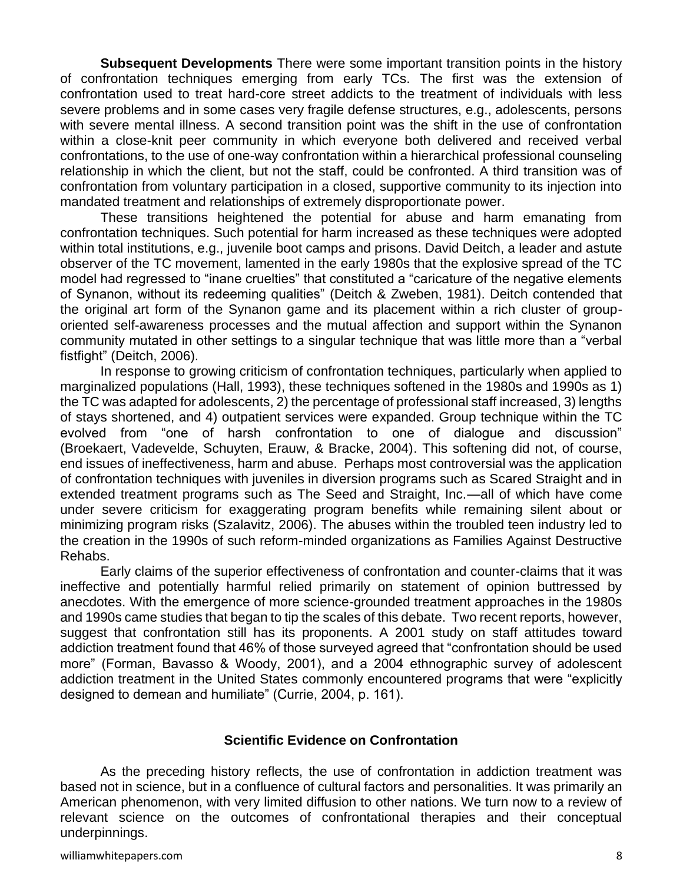**Subsequent Developments** There were some important transition points in the history of confrontation techniques emerging from early TCs. The first was the extension of confrontation used to treat hard-core street addicts to the treatment of individuals with less severe problems and in some cases very fragile defense structures, e.g., adolescents, persons with severe mental illness. A second transition point was the shift in the use of confrontation within a close-knit peer community in which everyone both delivered and received verbal confrontations, to the use of one-way confrontation within a hierarchical professional counseling relationship in which the client, but not the staff, could be confronted. A third transition was of confrontation from voluntary participation in a closed, supportive community to its injection into mandated treatment and relationships of extremely disproportionate power.

These transitions heightened the potential for abuse and harm emanating from confrontation techniques. Such potential for harm increased as these techniques were adopted within total institutions, e.g., juvenile boot camps and prisons. David Deitch, a leader and astute observer of the TC movement, lamented in the early 1980s that the explosive spread of the TC model had regressed to "inane cruelties" that constituted a "caricature of the negative elements of Synanon, without its redeeming qualities" (Deitch & Zweben, 1981). Deitch contended that the original art form of the Synanon game and its placement within a rich cluster of grouporiented self-awareness processes and the mutual affection and support within the Synanon community mutated in other settings to a singular technique that was little more than a "verbal fistfight" (Deitch, 2006).

In response to growing criticism of confrontation techniques, particularly when applied to marginalized populations (Hall, 1993), these techniques softened in the 1980s and 1990s as 1) the TC was adapted for adolescents, 2) the percentage of professional staff increased, 3) lengths of stays shortened, and 4) outpatient services were expanded. Group technique within the TC evolved from "one of harsh confrontation to one of dialogue and discussion" (Broekaert, Vadevelde, Schuyten, Erauw, & Bracke, 2004). This softening did not, of course, end issues of ineffectiveness, harm and abuse. Perhaps most controversial was the application of confrontation techniques with juveniles in diversion programs such as Scared Straight and in extended treatment programs such as The Seed and Straight, Inc.—all of which have come under severe criticism for exaggerating program benefits while remaining silent about or minimizing program risks (Szalavitz, 2006). The abuses within the troubled teen industry led to the creation in the 1990s of such reform-minded organizations as Families Against Destructive Rehabs.

Early claims of the superior effectiveness of confrontation and counter-claims that it was ineffective and potentially harmful relied primarily on statement of opinion buttressed by anecdotes. With the emergence of more science-grounded treatment approaches in the 1980s and 1990s came studies that began to tip the scales of this debate. Two recent reports, however, suggest that confrontation still has its proponents. A 2001 study on staff attitudes toward addiction treatment found that 46% of those surveyed agreed that "confrontation should be used more" (Forman, Bavasso & Woody, 2001), and a 2004 ethnographic survey of adolescent addiction treatment in the United States commonly encountered programs that were "explicitly designed to demean and humiliate" (Currie, 2004, p. 161).

#### **Scientific Evidence on Confrontation**

As the preceding history reflects, the use of confrontation in addiction treatment was based not in science, but in a confluence of cultural factors and personalities. It was primarily an American phenomenon, with very limited diffusion to other nations. We turn now to a review of relevant science on the outcomes of confrontational therapies and their conceptual underpinnings.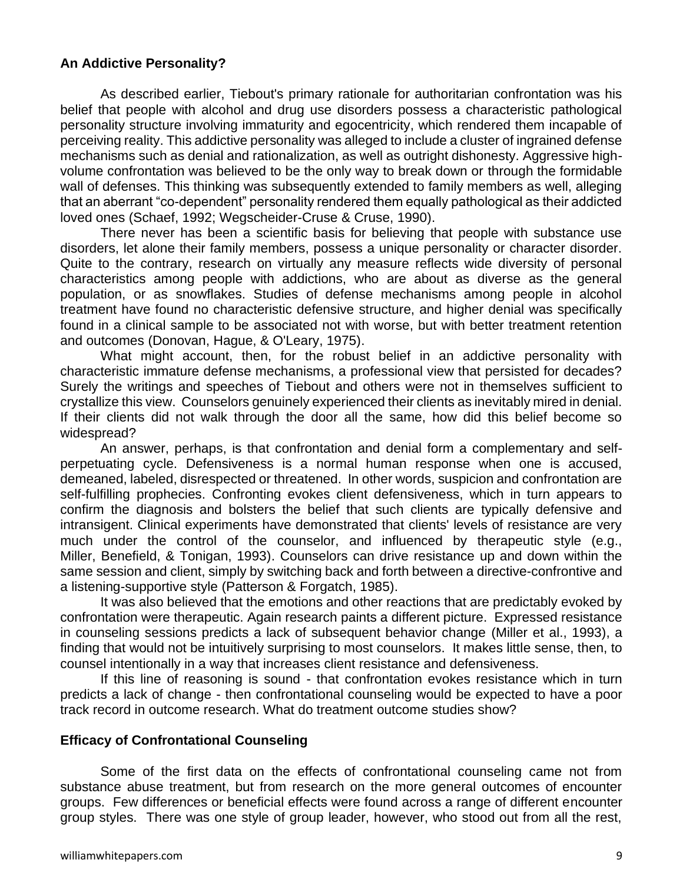# **An Addictive Personality?**

As described earlier, Tiebout's primary rationale for authoritarian confrontation was his belief that people with alcohol and drug use disorders possess a characteristic pathological personality structure involving immaturity and egocentricity, which rendered them incapable of perceiving reality. This addictive personality was alleged to include a cluster of ingrained defense mechanisms such as denial and rationalization, as well as outright dishonesty. Aggressive highvolume confrontation was believed to be the only way to break down or through the formidable wall of defenses. This thinking was subsequently extended to family members as well, alleging that an aberrant "co-dependent" personality rendered them equally pathological as their addicted loved ones (Schaef, 1992; Wegscheider-Cruse & Cruse, 1990).

There never has been a scientific basis for believing that people with substance use disorders, let alone their family members, possess a unique personality or character disorder. Quite to the contrary, research on virtually any measure reflects wide diversity of personal characteristics among people with addictions, who are about as diverse as the general population, or as snowflakes. Studies of defense mechanisms among people in alcohol treatment have found no characteristic defensive structure, and higher denial was specifically found in a clinical sample to be associated not with worse, but with better treatment retention and outcomes (Donovan, Hague, & O'Leary, 1975).

What might account, then, for the robust belief in an addictive personality with characteristic immature defense mechanisms, a professional view that persisted for decades? Surely the writings and speeches of Tiebout and others were not in themselves sufficient to crystallize this view. Counselors genuinely experienced their clients as inevitably mired in denial. If their clients did not walk through the door all the same, how did this belief become so widespread?

An answer, perhaps, is that confrontation and denial form a complementary and selfperpetuating cycle. Defensiveness is a normal human response when one is accused, demeaned, labeled, disrespected or threatened. In other words, suspicion and confrontation are self-fulfilling prophecies. Confronting evokes client defensiveness, which in turn appears to confirm the diagnosis and bolsters the belief that such clients are typically defensive and intransigent. Clinical experiments have demonstrated that clients' levels of resistance are very much under the control of the counselor, and influenced by therapeutic style (e.g., Miller, Benefield, & Tonigan, 1993). Counselors can drive resistance up and down within the same session and client, simply by switching back and forth between a directive-confrontive and a listening-supportive style (Patterson & Forgatch, 1985).

It was also believed that the emotions and other reactions that are predictably evoked by confrontation were therapeutic. Again research paints a different picture. Expressed resistance in counseling sessions predicts a lack of subsequent behavior change (Miller et al., 1993), a finding that would not be intuitively surprising to most counselors. It makes little sense, then, to counsel intentionally in a way that increases client resistance and defensiveness.

If this line of reasoning is sound - that confrontation evokes resistance which in turn predicts a lack of change - then confrontational counseling would be expected to have a poor track record in outcome research. What do treatment outcome studies show?

#### **Efficacy of Confrontational Counseling**

Some of the first data on the effects of confrontational counseling came not from substance abuse treatment, but from research on the more general outcomes of encounter groups. Few differences or beneficial effects were found across a range of different encounter group styles. There was one style of group leader, however, who stood out from all the rest,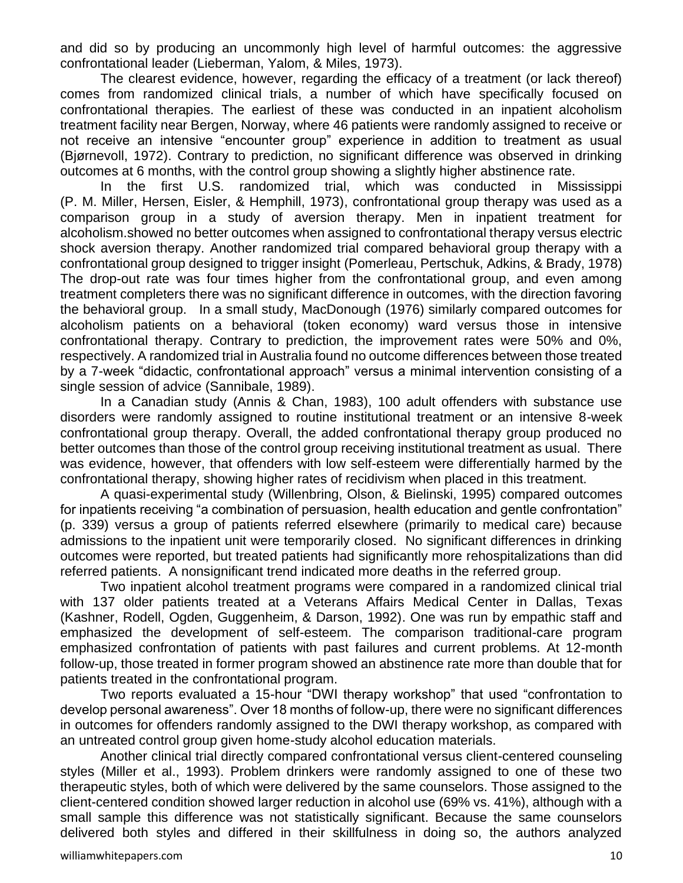and did so by producing an uncommonly high level of harmful outcomes: the aggressive confrontational leader (Lieberman, Yalom, & Miles, 1973).

The clearest evidence, however, regarding the efficacy of a treatment (or lack thereof) comes from randomized clinical trials, a number of which have specifically focused on confrontational therapies. The earliest of these was conducted in an inpatient alcoholism treatment facility near Bergen, Norway, where 46 patients were randomly assigned to receive or not receive an intensive "encounter group" experience in addition to treatment as usual (Bjørnevoll, 1972). Contrary to prediction, no significant difference was observed in drinking outcomes at 6 months, with the control group showing a slightly higher abstinence rate.

In the first U.S. randomized trial, which was conducted in Mississippi (P. M. Miller, Hersen, Eisler, & Hemphill, 1973), confrontational group therapy was used as a comparison group in a study of aversion therapy. Men in inpatient treatment for alcoholism.showed no better outcomes when assigned to confrontational therapy versus electric shock aversion therapy. Another randomized trial compared behavioral group therapy with a confrontational group designed to trigger insight (Pomerleau, Pertschuk, Adkins, & Brady, 1978) The drop-out rate was four times higher from the confrontational group, and even among treatment completers there was no significant difference in outcomes, with the direction favoring the behavioral group. In a small study, MacDonough (1976) similarly compared outcomes for alcoholism patients on a behavioral (token economy) ward versus those in intensive confrontational therapy. Contrary to prediction, the improvement rates were 50% and 0%, respectively. A randomized trial in Australia found no outcome differences between those treated by a 7-week "didactic, confrontational approach" versus a minimal intervention consisting of a single session of advice (Sannibale, 1989).

In a Canadian study (Annis & Chan, 1983), 100 adult offenders with substance use disorders were randomly assigned to routine institutional treatment or an intensive 8-week confrontational group therapy. Overall, the added confrontational therapy group produced no better outcomes than those of the control group receiving institutional treatment as usual. There was evidence, however, that offenders with low self-esteem were differentially harmed by the confrontational therapy, showing higher rates of recidivism when placed in this treatment.

A quasi-experimental study (Willenbring, Olson, & Bielinski, 1995) compared outcomes for inpatients receiving "a combination of persuasion, health education and gentle confrontation" (p. 339) versus a group of patients referred elsewhere (primarily to medical care) because admissions to the inpatient unit were temporarily closed. No significant differences in drinking outcomes were reported, but treated patients had significantly more rehospitalizations than did referred patients. A nonsignificant trend indicated more deaths in the referred group.

Two inpatient alcohol treatment programs were compared in a randomized clinical trial with 137 older patients treated at a Veterans Affairs Medical Center in Dallas, Texas (Kashner, Rodell, Ogden, Guggenheim, & Darson, 1992). One was run by empathic staff and emphasized the development of self-esteem. The comparison traditional-care program emphasized confrontation of patients with past failures and current problems. At 12-month follow-up, those treated in former program showed an abstinence rate more than double that for patients treated in the confrontational program.

Two reports evaluated a 15-hour "DWI therapy workshop" that used "confrontation to develop personal awareness". Over 18 months of follow-up, there were no significant differences in outcomes for offenders randomly assigned to the DWI therapy workshop, as compared with an untreated control group given home-study alcohol education materials.

Another clinical trial directly compared confrontational versus client-centered counseling styles (Miller et al., 1993). Problem drinkers were randomly assigned to one of these two therapeutic styles, both of which were delivered by the same counselors. Those assigned to the client-centered condition showed larger reduction in alcohol use (69% vs. 41%), although with a small sample this difference was not statistically significant. Because the same counselors delivered both styles and differed in their skillfulness in doing so, the authors analyzed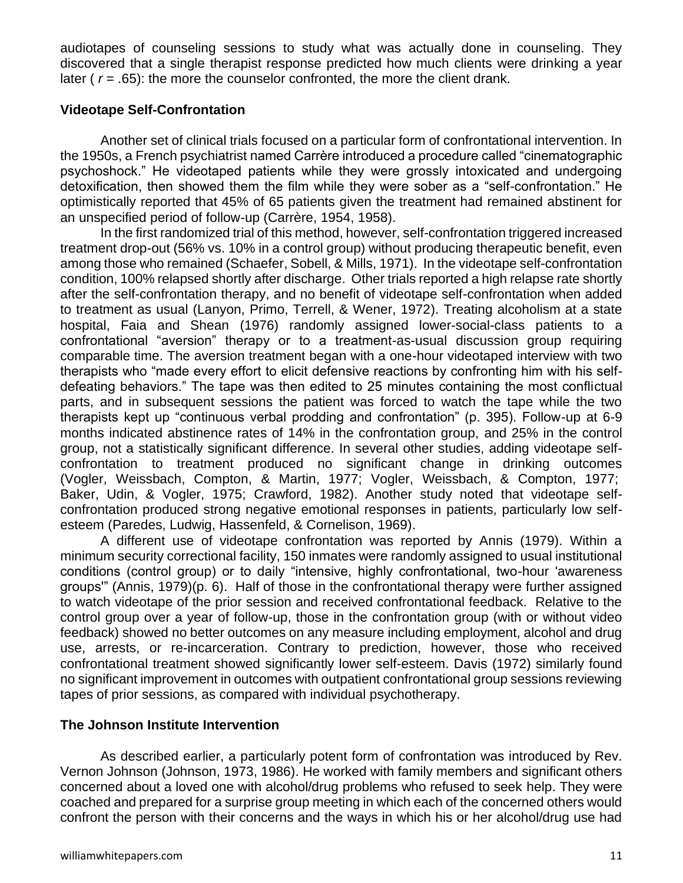audiotapes of counseling sessions to study what was actually done in counseling. They discovered that a single therapist response predicted how much clients were drinking a year later ( $r = .65$ ): the more the counselor confronted, the more the client drank.

# **Videotape Self-Confrontation**

Another set of clinical trials focused on a particular form of confrontational intervention. In the 1950s, a French psychiatrist named Carrère introduced a procedure called "cinematographic psychoshock." He videotaped patients while they were grossly intoxicated and undergoing detoxification, then showed them the film while they were sober as a "self-confrontation." He optimistically reported that 45% of 65 patients given the treatment had remained abstinent for an unspecified period of follow-up (Carrère, 1954, 1958).

In the first randomized trial of this method, however, self-confrontation triggered increased treatment drop-out (56% vs. 10% in a control group) without producing therapeutic benefit, even among those who remained (Schaefer, Sobell, & Mills, 1971). In the videotape self-confrontation condition, 100% relapsed shortly after discharge. Other trials reported a high relapse rate shortly after the self-confrontation therapy, and no benefit of videotape self-confrontation when added to treatment as usual (Lanyon, Primo, Terrell, & Wener, 1972). Treating alcoholism at a state hospital, Faia and Shean (1976) randomly assigned lower-social-class patients to a confrontational "aversion" therapy or to a treatment-as-usual discussion group requiring comparable time. The aversion treatment began with a one-hour videotaped interview with two therapists who "made every effort to elicit defensive reactions by confronting him with his selfdefeating behaviors." The tape was then edited to 25 minutes containing the most conflictual parts, and in subsequent sessions the patient was forced to watch the tape while the two therapists kept up "continuous verbal prodding and confrontation" (p. 395). Follow-up at 6-9 months indicated abstinence rates of 14% in the confrontation group, and 25% in the control group, not a statistically significant difference. In several other studies, adding videotape selfconfrontation to treatment produced no significant change in drinking outcomes (Vogler, Weissbach, Compton, & Martin, 1977; Vogler, Weissbach, & Compton, 1977; Baker, Udin, & Vogler, 1975; Crawford, 1982). Another study noted that videotape selfconfrontation produced strong negative emotional responses in patients, particularly low selfesteem (Paredes, Ludwig, Hassenfeld, & Cornelison, 1969).

A different use of videotape confrontation was reported by Annis (1979). Within a minimum security correctional facility, 150 inmates were randomly assigned to usual institutional conditions (control group) or to daily "intensive, highly confrontational, two-hour 'awareness groups'" (Annis, 1979)(p. 6). Half of those in the confrontational therapy were further assigned to watch videotape of the prior session and received confrontational feedback. Relative to the control group over a year of follow-up, those in the confrontation group (with or without video feedback) showed no better outcomes on any measure including employment, alcohol and drug use, arrests, or re-incarceration. Contrary to prediction, however, those who received confrontational treatment showed significantly lower self-esteem. Davis (1972) similarly found no significant improvement in outcomes with outpatient confrontational group sessions reviewing tapes of prior sessions, as compared with individual psychotherapy.

# **The Johnson Institute Intervention**

As described earlier, a particularly potent form of confrontation was introduced by Rev. Vernon Johnson (Johnson, 1973, 1986). He worked with family members and significant others concerned about a loved one with alcohol/drug problems who refused to seek help. They were coached and prepared for a surprise group meeting in which each of the concerned others would confront the person with their concerns and the ways in which his or her alcohol/drug use had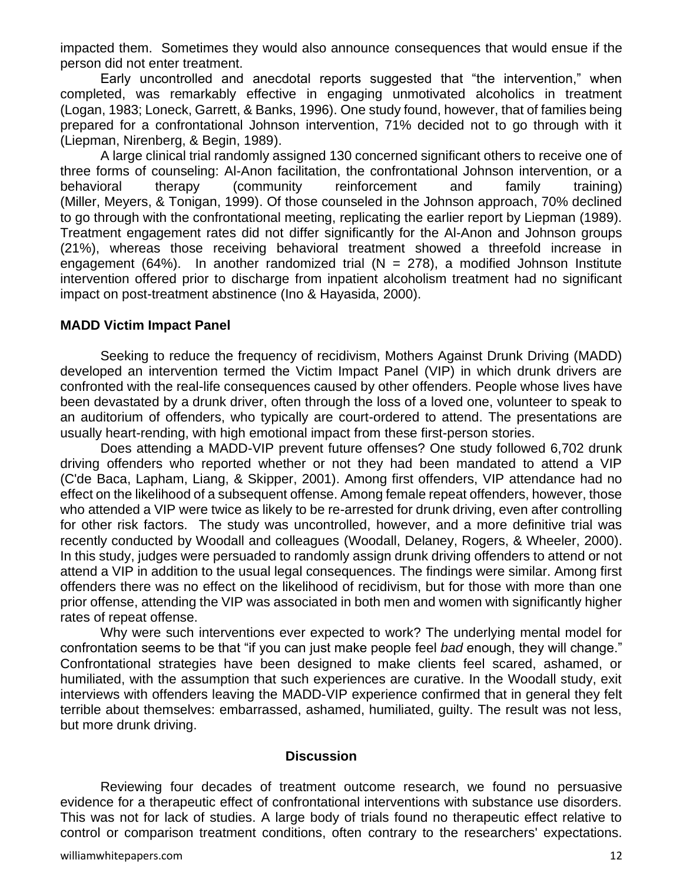impacted them. Sometimes they would also announce consequences that would ensue if the person did not enter treatment.

Early uncontrolled and anecdotal reports suggested that "the intervention," when completed, was remarkably effective in engaging unmotivated alcoholics in treatment (Logan, 1983; Loneck, Garrett, & Banks, 1996). One study found, however, that of families being prepared for a confrontational Johnson intervention, 71% decided not to go through with it (Liepman, Nirenberg, & Begin, 1989).

A large clinical trial randomly assigned 130 concerned significant others to receive one of three forms of counseling: Al-Anon facilitation, the confrontational Johnson intervention, or a behavioral therapy (community reinforcement and family training) (Miller, Meyers, & Tonigan, 1999). Of those counseled in the Johnson approach, 70% declined to go through with the confrontational meeting, replicating the earlier report by Liepman (1989). Treatment engagement rates did not differ significantly for the Al-Anon and Johnson groups (21%), whereas those receiving behavioral treatment showed a threefold increase in engagement (64%). In another randomized trial  $(N = 278)$ , a modified Johnson Institute intervention offered prior to discharge from inpatient alcoholism treatment had no significant impact on post-treatment abstinence (Ino & Hayasida, 2000).

#### **MADD Victim Impact Panel**

Seeking to reduce the frequency of recidivism, Mothers Against Drunk Driving (MADD) developed an intervention termed the Victim Impact Panel (VIP) in which drunk drivers are confronted with the real-life consequences caused by other offenders. People whose lives have been devastated by a drunk driver, often through the loss of a loved one, volunteer to speak to an auditorium of offenders, who typically are court-ordered to attend. The presentations are usually heart-rending, with high emotional impact from these first-person stories.

Does attending a MADD-VIP prevent future offenses? One study followed 6,702 drunk driving offenders who reported whether or not they had been mandated to attend a VIP (C'de Baca, Lapham, Liang, & Skipper, 2001). Among first offenders, VIP attendance had no effect on the likelihood of a subsequent offense. Among female repeat offenders, however, those who attended a VIP were twice as likely to be re-arrested for drunk driving, even after controlling for other risk factors. The study was uncontrolled, however, and a more definitive trial was recently conducted by Woodall and colleagues (Woodall, Delaney, Rogers, & Wheeler, 2000). In this study, judges were persuaded to randomly assign drunk driving offenders to attend or not attend a VIP in addition to the usual legal consequences. The findings were similar. Among first offenders there was no effect on the likelihood of recidivism, but for those with more than one prior offense, attending the VIP was associated in both men and women with significantly higher rates of repeat offense.

Why were such interventions ever expected to work? The underlying mental model for confrontation seems to be that "if you can just make people feel *bad* enough, they will change." Confrontational strategies have been designed to make clients feel scared, ashamed, or humiliated, with the assumption that such experiences are curative. In the Woodall study, exit interviews with offenders leaving the MADD-VIP experience confirmed that in general they felt terrible about themselves: embarrassed, ashamed, humiliated, guilty. The result was not less, but more drunk driving.

#### **Discussion**

Reviewing four decades of treatment outcome research, we found no persuasive evidence for a therapeutic effect of confrontational interventions with substance use disorders. This was not for lack of studies. A large body of trials found no therapeutic effect relative to control or comparison treatment conditions, often contrary to the researchers' expectations.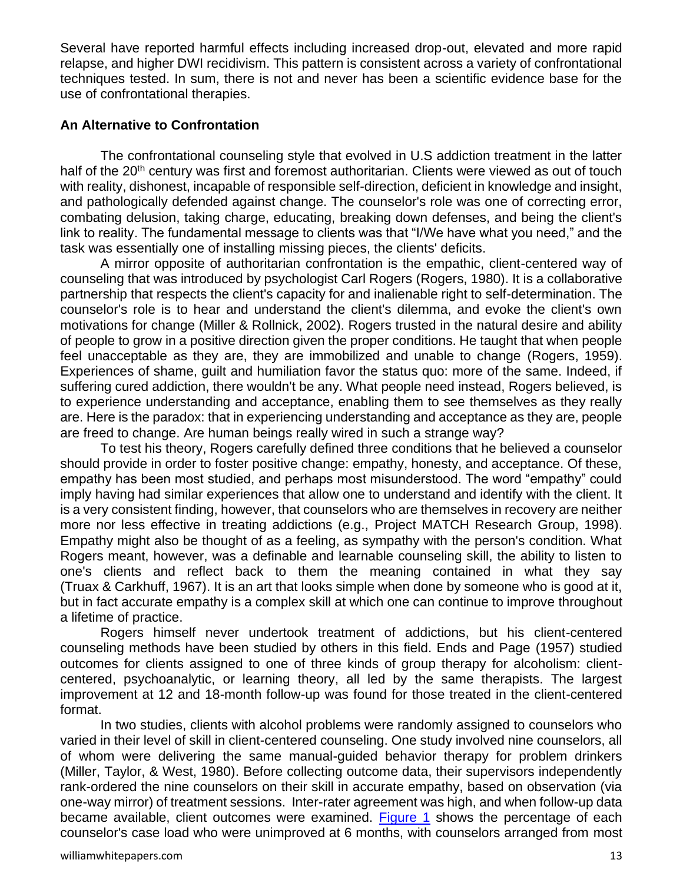Several have reported harmful effects including increased drop-out, elevated and more rapid relapse, and higher DWI recidivism. This pattern is consistent across a variety of confrontational techniques tested. In sum, there is not and never has been a scientific evidence base for the use of confrontational therapies.

# **An Alternative to Confrontation**

The confrontational counseling style that evolved in U.S addiction treatment in the latter half of the 20<sup>th</sup> century was first and foremost authoritarian. Clients were viewed as out of touch with reality, dishonest, incapable of responsible self-direction, deficient in knowledge and insight, and pathologically defended against change. The counselor's role was one of correcting error, combating delusion, taking charge, educating, breaking down defenses, and being the client's link to reality. The fundamental message to clients was that "I/We have what you need," and the task was essentially one of installing missing pieces, the clients' deficits.

A mirror opposite of authoritarian confrontation is the empathic, client-centered way of counseling that was introduced by psychologist Carl Rogers (Rogers, 1980). It is a collaborative partnership that respects the client's capacity for and inalienable right to self-determination. The counselor's role is to hear and understand the client's dilemma, and evoke the client's own motivations for change (Miller & Rollnick, 2002). Rogers trusted in the natural desire and ability of people to grow in a positive direction given the proper conditions. He taught that when people feel unacceptable as they are, they are immobilized and unable to change (Rogers, 1959). Experiences of shame, guilt and humiliation favor the status quo: more of the same. Indeed, if suffering cured addiction, there wouldn't be any. What people need instead, Rogers believed, is to experience understanding and acceptance, enabling them to see themselves as they really are. Here is the paradox: that in experiencing understanding and acceptance as they are, people are freed to change. Are human beings really wired in such a strange way?

To test his theory, Rogers carefully defined three conditions that he believed a counselor should provide in order to foster positive change: empathy, honesty, and acceptance. Of these, empathy has been most studied, and perhaps most misunderstood. The word "empathy" could imply having had similar experiences that allow one to understand and identify with the client. It is a very consistent finding, however, that counselors who are themselves in recovery are neither more nor less effective in treating addictions (e.g., Project MATCH Research Group, 1998). Empathy might also be thought of as a feeling, as sympathy with the person's condition. What Rogers meant, however, was a definable and learnable counseling skill, the ability to listen to one's clients and reflect back to them the meaning contained in what they say (Truax & Carkhuff, 1967). It is an art that looks simple when done by someone who is good at it, but in fact accurate empathy is a complex skill at which one can continue to improve throughout a lifetime of practice.

Rogers himself never undertook treatment of addictions, but his client-centered counseling methods have been studied by others in this field. Ends and Page (1957) studied outcomes for clients assigned to one of three kinds of group therapy for alcoholism: clientcentered, psychoanalytic, or learning theory, all led by the same therapists. The largest improvement at 12 and 18-month follow-up was found for those treated in the client-centered format.

<span id="page-12-0"></span>In two studies, clients with alcohol problems were randomly assigned to counselors who varied in their level of skill in client-centered counseling. One study involved nine counselors, all of whom were delivering the same manual-guided behavior therapy for problem drinkers (Miller, Taylor, & West, 1980). Before collecting outcome data, their supervisors independently rank-ordered the nine counselors on their skill in accurate empathy, based on observation (via one-way mirror) of treatment sessions. Inter-rater agreement was high, and when follow-up data became available, client outcomes were examined. [Figure 1](#page-16-0) shows the percentage of each counselor's case load who were unimproved at 6 months, with counselors arranged from most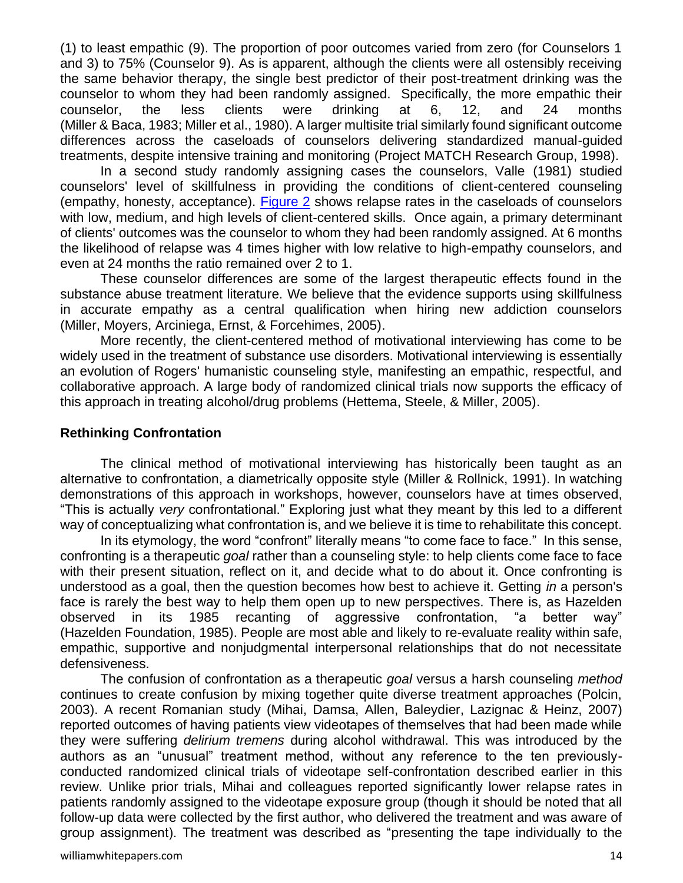<span id="page-13-0"></span>(1) to least empathic (9). The proportion of poor outcomes varied from zero (for Counselors 1 and 3) to 75% (Counselor 9). As is apparent, although the clients were all ostensibly receiving the same behavior therapy, the single best predictor of their post-treatment drinking was the counselor to whom they had been randomly assigned. Specifically, the more empathic their counselor, the less clients were drinking at 6, 12, and 24 months (Miller & Baca, 1983; Miller et al., 1980). A larger multisite trial similarly found significant outcome differences across the caseloads of counselors delivering standardized manual-guided treatments, despite intensive training and monitoring (Project MATCH Research Group, 1998).

In a second study randomly assigning cases the counselors, Valle (1981) studied counselors' level of skillfulness in providing the conditions of client-centered counseling (empathy, honesty, acceptance). [Figure 2](#page-17-0) shows relapse rates in the caseloads of counselors with low, medium, and high levels of client-centered skills. Once again, a primary determinant of clients' outcomes was the counselor to whom they had been randomly assigned. At 6 months the likelihood of relapse was 4 times higher with low relative to high-empathy counselors, and even at 24 months the ratio remained over 2 to 1.

These counselor differences are some of the largest therapeutic effects found in the substance abuse treatment literature. We believe that the evidence supports using skillfulness in accurate empathy as a central qualification when hiring new addiction counselors (Miller, Moyers, Arciniega, Ernst, & Forcehimes, 2005).

More recently, the client-centered method of motivational interviewing has come to be widely used in the treatment of substance use disorders. Motivational interviewing is essentially an evolution of Rogers' humanistic counseling style, manifesting an empathic, respectful, and collaborative approach. A large body of randomized clinical trials now supports the efficacy of this approach in treating alcohol/drug problems (Hettema, Steele, & Miller, 2005).

#### **Rethinking Confrontation**

The clinical method of motivational interviewing has historically been taught as an alternative to confrontation, a diametrically opposite style (Miller & Rollnick, 1991). In watching demonstrations of this approach in workshops, however, counselors have at times observed, "This is actually *very* confrontational." Exploring just what they meant by this led to a different way of conceptualizing what confrontation is, and we believe it is time to rehabilitate this concept.

In its etymology, the word "confront" literally means "to come face to face." In this sense, confronting is a therapeutic *goal* rather than a counseling style: to help clients come face to face with their present situation, reflect on it, and decide what to do about it. Once confronting is understood as a goal, then the question becomes how best to achieve it. Getting *in* a person's face is rarely the best way to help them open up to new perspectives. There is, as Hazelden observed in its 1985 recanting of aggressive confrontation, "a better way" (Hazelden Foundation, 1985). People are most able and likely to re-evaluate reality within safe, empathic, supportive and nonjudgmental interpersonal relationships that do not necessitate defensiveness.

The confusion of confrontation as a therapeutic *goal* versus a harsh counseling *method* continues to create confusion by mixing together quite diverse treatment approaches (Polcin, 2003). A recent Romanian study (Mihai, Damsa, Allen, Baleydier, Lazignac & Heinz, 2007) reported outcomes of having patients view videotapes of themselves that had been made while they were suffering *delirium tremens* during alcohol withdrawal. This was introduced by the authors as an "unusual" treatment method, without any reference to the ten previouslyconducted randomized clinical trials of videotape self-confrontation described earlier in this review. Unlike prior trials, Mihai and colleagues reported significantly lower relapse rates in patients randomly assigned to the videotape exposure group (though it should be noted that all follow-up data were collected by the first author, who delivered the treatment and was aware of group assignment). The treatment was described as "presenting the tape individually to the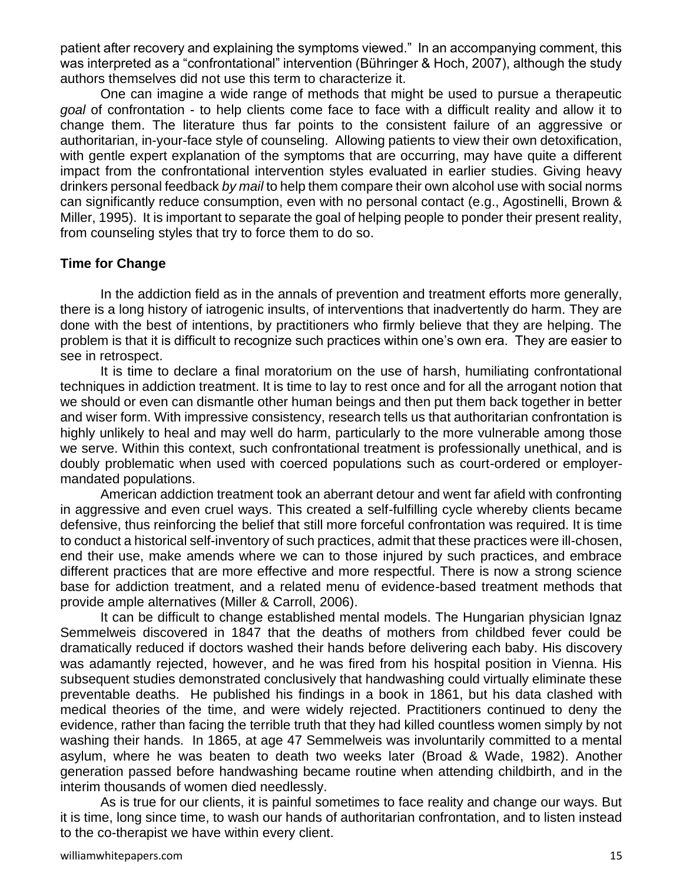patient after recovery and explaining the symptoms viewed." In an accompanying comment, this was interpreted as a "confrontational" intervention (Bühringer & Hoch, 2007), although the study authors themselves did not use this term to characterize it.

One can imagine a wide range of methods that might be used to pursue a therapeutic *goal* of confrontation - to help clients come face to face with a difficult reality and allow it to change them. The literature thus far points to the consistent failure of an aggressive or authoritarian, in-your-face style of counseling. Allowing patients to view their own detoxification, with gentle expert explanation of the symptoms that are occurring, may have quite a different impact from the confrontational intervention styles evaluated in earlier studies. Giving heavy drinkers personal feedback *by mail* to help them compare their own alcohol use with social norms can significantly reduce consumption, even with no personal contact (e.g., Agostinelli, Brown & Miller, 1995). It is important to separate the goal of helping people to ponder their present reality, from counseling styles that try to force them to do so.

#### **Time for Change**

In the addiction field as in the annals of prevention and treatment efforts more generally, there is a long history of iatrogenic insults, of interventions that inadvertently do harm. They are done with the best of intentions, by practitioners who firmly believe that they are helping. The problem is that it is difficult to recognize such practices within one's own era. They are easier to see in retrospect.

It is time to declare a final moratorium on the use of harsh, humiliating confrontational techniques in addiction treatment. It is time to lay to rest once and for all the arrogant notion that we should or even can dismantle other human beings and then put them back together in better and wiser form. With impressive consistency, research tells us that authoritarian confrontation is highly unlikely to heal and may well do harm, particularly to the more vulnerable among those we serve. Within this context, such confrontational treatment is professionally unethical, and is doubly problematic when used with coerced populations such as court-ordered or employermandated populations.

American addiction treatment took an aberrant detour and went far afield with confronting in aggressive and even cruel ways. This created a self-fulfilling cycle whereby clients became defensive, thus reinforcing the belief that still more forceful confrontation was required. It is time to conduct a historical self-inventory of such practices, admit that these practices were ill-chosen, end their use, make amends where we can to those injured by such practices, and embrace different practices that are more effective and more respectful. There is now a strong science base for addiction treatment, and a related menu of evidence-based treatment methods that provide ample alternatives (Miller & Carroll, 2006).

It can be difficult to change established mental models. The Hungarian physician Ignaz Semmelweis discovered in 1847 that the deaths of mothers from childbed fever could be dramatically reduced if doctors washed their hands before delivering each baby. His discovery was adamantly rejected, however, and he was fired from his hospital position in Vienna. His subsequent studies demonstrated conclusively that handwashing could virtually eliminate these preventable deaths. He published his findings in a book in 1861, but his data clashed with medical theories of the time, and were widely rejected. Practitioners continued to deny the evidence, rather than facing the terrible truth that they had killed countless women simply by not washing their hands. In 1865, at age 47 Semmelweis was involuntarily committed to a mental asylum, where he was beaten to death two weeks later (Broad & Wade, 1982). Another generation passed before handwashing became routine when attending childbirth, and in the interim thousands of women died needlessly.

As is true for our clients, it is painful sometimes to face reality and change our ways. But it is time, long since time, to wash our hands of authoritarian confrontation, and to listen instead to the co-therapist we have within every client.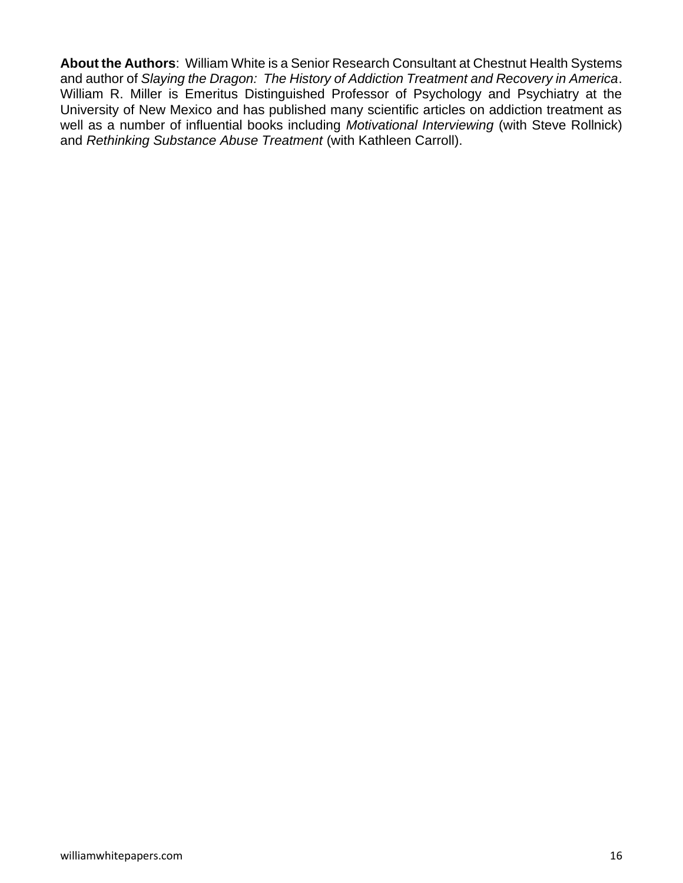**About the Authors**: William White is a Senior Research Consultant at Chestnut Health Systems and author of *Slaying the Dragon: The History of Addiction Treatment and Recovery in America*. William R. Miller is Emeritus Distinguished Professor of Psychology and Psychiatry at the University of New Mexico and has published many scientific articles on addiction treatment as well as a number of influential books including *Motivational Interviewing* (with Steve Rollnick) and *Rethinking Substance Abuse Treatment* (with Kathleen Carroll).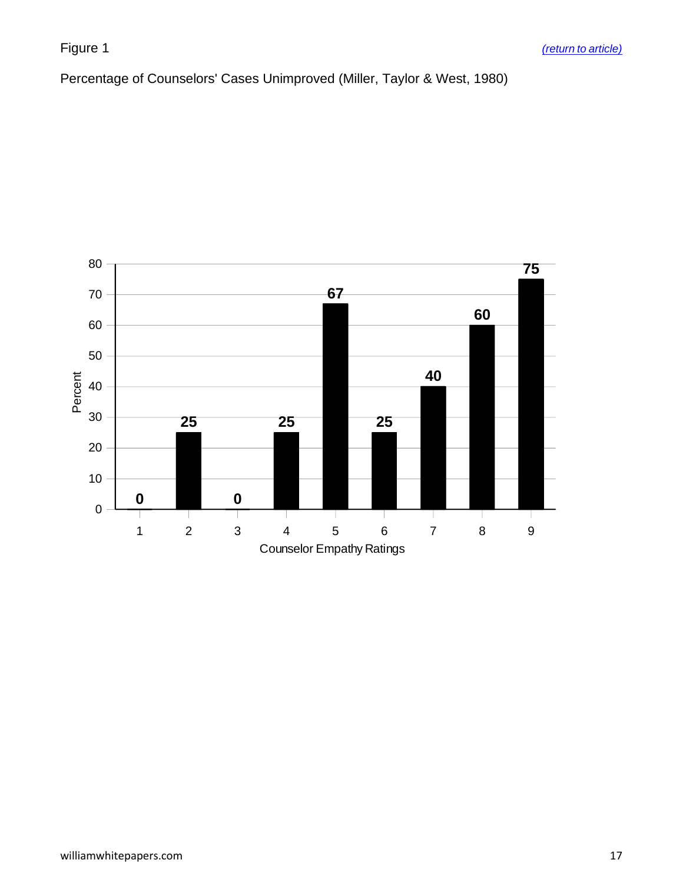<span id="page-16-0"></span>Percentage of Counselors' Cases Unimproved (Miller, Taylor & West, 1980)

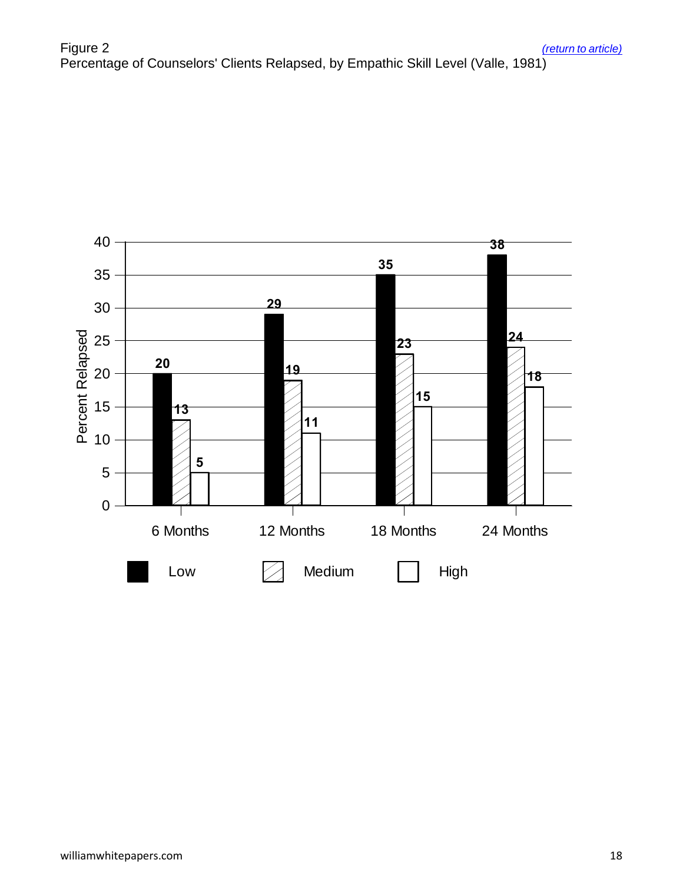<span id="page-17-0"></span>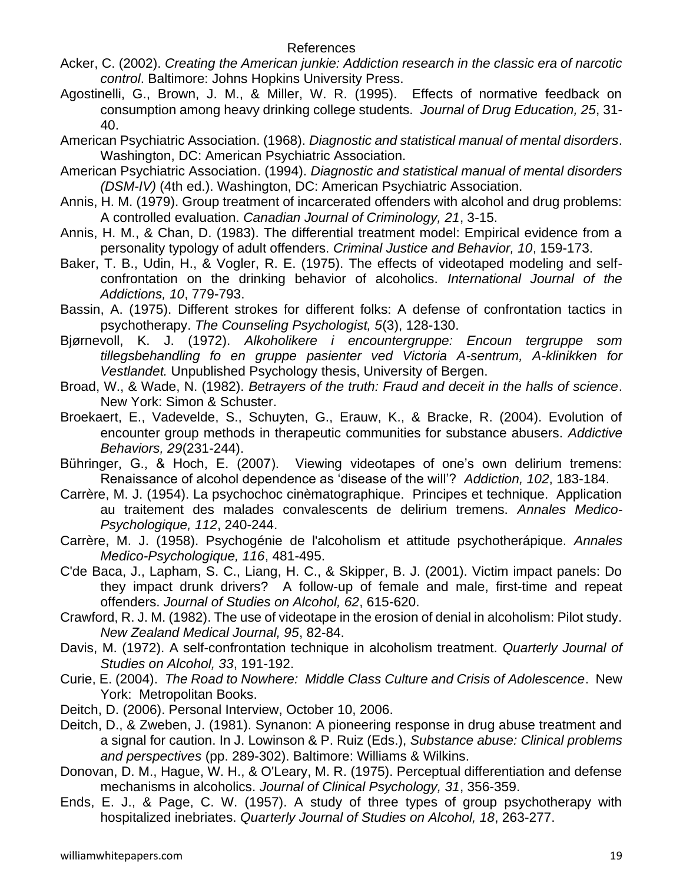- Acker, C. (2002). *Creating the American junkie: Addiction research in the classic era of narcotic control*. Baltimore: Johns Hopkins University Press.
- Agostinelli, G., Brown, J. M., & Miller, W. R. (1995). Effects of normative feedback on consumption among heavy drinking college students. *Journal of Drug Education, 25*, 31- 40.
- American Psychiatric Association. (1968). *Diagnostic and statistical manual of mental disorders*. Washington, DC: American Psychiatric Association.
- American Psychiatric Association. (1994). *Diagnostic and statistical manual of mental disorders (DSM-IV)* (4th ed.). Washington, DC: American Psychiatric Association.
- Annis, H. M. (1979). Group treatment of incarcerated offenders with alcohol and drug problems: A controlled evaluation. *Canadian Journal of Criminology, 21*, 3-15.
- Annis, H. M., & Chan, D. (1983). The differential treatment model: Empirical evidence from a personality typology of adult offenders. *Criminal Justice and Behavior, 10*, 159-173.
- Baker, T. B., Udin, H., & Vogler, R. E. (1975). The effects of videotaped modeling and selfconfrontation on the drinking behavior of alcoholics. *International Journal of the Addictions, 10*, 779-793.
- Bassin, A. (1975). Different strokes for different folks: A defense of confrontation tactics in psychotherapy. *The Counseling Psychologist, 5*(3), 128-130.
- Bjørnevoll, K. J. (1972). *Alkoholikere i encountergruppe: Encoun tergruppe som tillegsbehandling fo en gruppe pasienter ved Victoria A-sentrum, A-klinikken for Vestlandet.* Unpublished Psychology thesis, University of Bergen.
- Broad, W., & Wade, N. (1982). *Betrayers of the truth: Fraud and deceit in the halls of science*. New York: Simon & Schuster.
- Broekaert, E., Vadevelde, S., Schuyten, G., Erauw, K., & Bracke, R. (2004). Evolution of encounter group methods in therapeutic communities for substance abusers. *Addictive Behaviors, 29*(231-244).
- Bühringer, G., & Hoch, E. (2007). Viewing videotapes of one's own delirium tremens: Renaissance of alcohol dependence as 'disease of the will'? *Addiction, 102*, 183-184.
- Carrère, M. J. (1954). La psychochoc cinèmatographique. Principes et technique. Application au traitement des malades convalescents de delirium tremens. *Annales Medico-Psychologique, 112*, 240-244.
- Carrère, M. J. (1958). Psychogénie de l'alcoholism et attitude psychotherápique. *Annales Medico-Psychologique, 116*, 481-495.
- C'de Baca, J., Lapham, S. C., Liang, H. C., & Skipper, B. J. (2001). Victim impact panels: Do they impact drunk drivers? A follow-up of female and male, first-time and repeat offenders. *Journal of Studies on Alcohol, 62*, 615-620.
- Crawford, R. J. M. (1982). The use of videotape in the erosion of denial in alcoholism: Pilot study. *New Zealand Medical Journal, 95*, 82-84.
- Davis, M. (1972). A self-confrontation technique in alcoholism treatment. *Quarterly Journal of Studies on Alcohol, 33*, 191-192.
- Curie, E. (2004). *The Road to Nowhere: Middle Class Culture and Crisis of Adolescence*. New York: Metropolitan Books.
- Deitch, D. (2006). Personal Interview, October 10, 2006.
- Deitch, D., & Zweben, J. (1981). Synanon: A pioneering response in drug abuse treatment and a signal for caution. In J. Lowinson & P. Ruiz (Eds.), *Substance abuse: Clinical problems and perspectives* (pp. 289-302). Baltimore: Williams & Wilkins.
- Donovan, D. M., Hague, W. H., & O'Leary, M. R. (1975). Perceptual differentiation and defense mechanisms in alcoholics. *Journal of Clinical Psychology, 31*, 356-359.
- Ends, E. J., & Page, C. W. (1957). A study of three types of group psychotherapy with hospitalized inebriates. *Quarterly Journal of Studies on Alcohol, 18*, 263-277.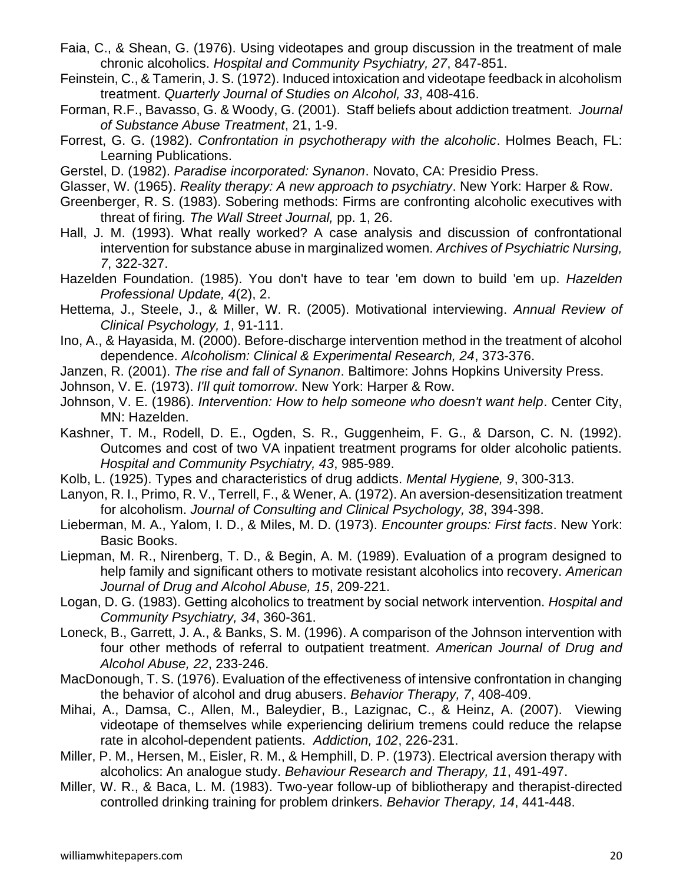- Faia, C., & Shean, G. (1976). Using videotapes and group discussion in the treatment of male chronic alcoholics. *Hospital and Community Psychiatry, 27*, 847-851.
- Feinstein, C., & Tamerin, J. S. (1972). Induced intoxication and videotape feedback in alcoholism treatment. *Quarterly Journal of Studies on Alcohol, 33*, 408-416.
- Forman, R.F., Bavasso, G. & Woody, G. (2001). Staff beliefs about addiction treatment. *Journal of Substance Abuse Treatment*, 21, 1-9.
- Forrest, G. G. (1982). *Confrontation in psychotherapy with the alcoholic*. Holmes Beach, FL: Learning Publications.
- Gerstel, D. (1982). *Paradise incorporated: Synanon*. Novato, CA: Presidio Press.
- Glasser, W. (1965). *Reality therapy: A new approach to psychiatry*. New York: Harper & Row.
- Greenberger, R. S. (1983). Sobering methods: Firms are confronting alcoholic executives with threat of firing*. The Wall Street Journal,* pp. 1, 26.
- Hall, J. M. (1993). What really worked? A case analysis and discussion of confrontational intervention for substance abuse in marginalized women. *Archives of Psychiatric Nursing, 7*, 322-327.
- Hazelden Foundation. (1985). You don't have to tear 'em down to build 'em up. *Hazelden Professional Update, 4*(2), 2.
- Hettema, J., Steele, J., & Miller, W. R. (2005). Motivational interviewing. *Annual Review of Clinical Psychology, 1*, 91-111.
- Ino, A., & Hayasida, M. (2000). Before-discharge intervention method in the treatment of alcohol dependence. *Alcoholism: Clinical & Experimental Research, 24*, 373-376.
- Janzen, R. (2001). *The rise and fall of Synanon*. Baltimore: Johns Hopkins University Press.
- Johnson, V. E. (1973). *I'll quit tomorrow*. New York: Harper & Row.
- Johnson, V. E. (1986). *Intervention: How to help someone who doesn't want help*. Center City, MN: Hazelden.
- Kashner, T. M., Rodell, D. E., Ogden, S. R., Guggenheim, F. G., & Darson, C. N. (1992). Outcomes and cost of two VA inpatient treatment programs for older alcoholic patients. *Hospital and Community Psychiatry, 43*, 985-989.
- Kolb, L. (1925). Types and characteristics of drug addicts. *Mental Hygiene, 9*, 300-313.
- Lanyon, R. I., Primo, R. V., Terrell, F., & Wener, A. (1972). An aversion-desensitization treatment for alcoholism. *Journal of Consulting and Clinical Psychology, 38*, 394-398.
- Lieberman, M. A., Yalom, I. D., & Miles, M. D. (1973). *Encounter groups: First facts*. New York: Basic Books.
- Liepman, M. R., Nirenberg, T. D., & Begin, A. M. (1989). Evaluation of a program designed to help family and significant others to motivate resistant alcoholics into recovery. *American Journal of Drug and Alcohol Abuse, 15*, 209-221.
- Logan, D. G. (1983). Getting alcoholics to treatment by social network intervention. *Hospital and Community Psychiatry, 34*, 360-361.
- Loneck, B., Garrett, J. A., & Banks, S. M. (1996). A comparison of the Johnson intervention with four other methods of referral to outpatient treatment. *American Journal of Drug and Alcohol Abuse, 22*, 233-246.
- MacDonough, T. S. (1976). Evaluation of the effectiveness of intensive confrontation in changing the behavior of alcohol and drug abusers. *Behavior Therapy, 7*, 408-409.
- Mihai, A., Damsa, C., Allen, M., Baleydier, B., Lazignac, C., & Heinz, A. (2007). Viewing videotape of themselves while experiencing delirium tremens could reduce the relapse rate in alcohol-dependent patients. *Addiction, 102*, 226-231.
- Miller, P. M., Hersen, M., Eisler, R. M., & Hemphill, D. P. (1973). Electrical aversion therapy with alcoholics: An analogue study. *Behaviour Research and Therapy, 11*, 491-497.
- Miller, W. R., & Baca, L. M. (1983). Two-year follow-up of bibliotherapy and therapist-directed controlled drinking training for problem drinkers. *Behavior Therapy, 14*, 441-448.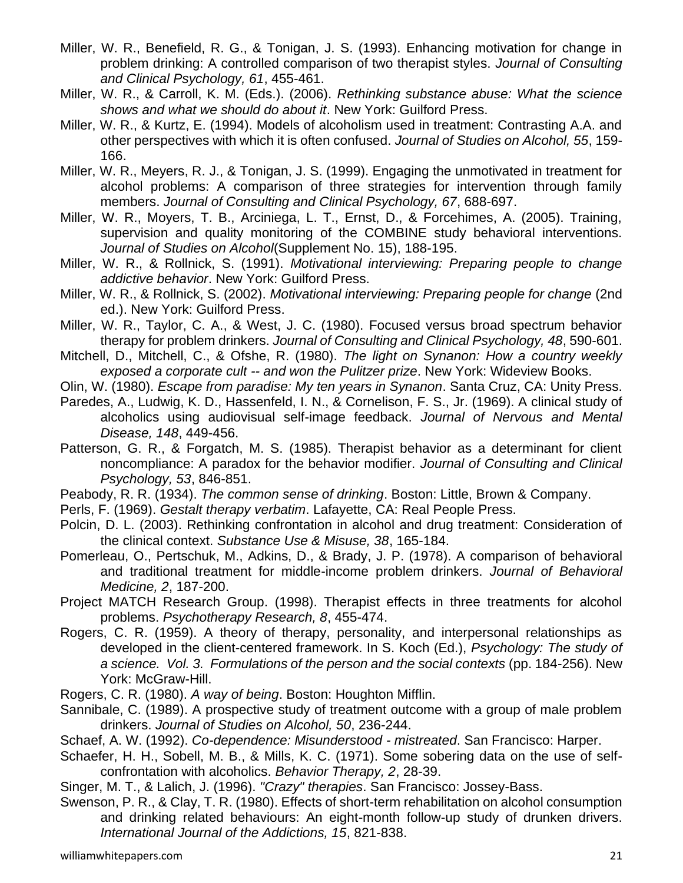- Miller, W. R., Benefield, R. G., & Tonigan, J. S. (1993). Enhancing motivation for change in problem drinking: A controlled comparison of two therapist styles. *Journal of Consulting and Clinical Psychology, 61*, 455-461.
- Miller, W. R., & Carroll, K. M. (Eds.). (2006). *Rethinking substance abuse: What the science shows and what we should do about it*. New York: Guilford Press.
- Miller, W. R., & Kurtz, E. (1994). Models of alcoholism used in treatment: Contrasting A.A. and other perspectives with which it is often confused. *Journal of Studies on Alcohol, 55*, 159- 166.
- Miller, W. R., Meyers, R. J., & Tonigan, J. S. (1999). Engaging the unmotivated in treatment for alcohol problems: A comparison of three strategies for intervention through family members. *Journal of Consulting and Clinical Psychology, 67*, 688-697.
- Miller, W. R., Moyers, T. B., Arciniega, L. T., Ernst, D., & Forcehimes, A. (2005). Training, supervision and quality monitoring of the COMBINE study behavioral interventions. *Journal of Studies on Alcohol*(Supplement No. 15), 188-195.
- Miller, W. R., & Rollnick, S. (1991). *Motivational interviewing: Preparing people to change addictive behavior*. New York: Guilford Press.
- Miller, W. R., & Rollnick, S. (2002). *Motivational interviewing: Preparing people for change* (2nd ed.). New York: Guilford Press.
- Miller, W. R., Taylor, C. A., & West, J. C. (1980). Focused versus broad spectrum behavior therapy for problem drinkers. *Journal of Consulting and Clinical Psychology, 48*, 590-601.
- Mitchell, D., Mitchell, C., & Ofshe, R. (1980). *The light on Synanon: How a country weekly exposed a corporate cult -- and won the Pulitzer prize*. New York: Wideview Books.
- Olin, W. (1980). *Escape from paradise: My ten years in Synanon*. Santa Cruz, CA: Unity Press.
- Paredes, A., Ludwig, K. D., Hassenfeld, I. N., & Cornelison, F. S., Jr. (1969). A clinical study of alcoholics using audiovisual self-image feedback. *Journal of Nervous and Mental Disease, 148*, 449-456.
- Patterson, G. R., & Forgatch, M. S. (1985). Therapist behavior as a determinant for client noncompliance: A paradox for the behavior modifier. *Journal of Consulting and Clinical Psychology, 53*, 846-851.
- Peabody, R. R. (1934). *The common sense of drinking*. Boston: Little, Brown & Company.
- Perls, F. (1969). *Gestalt therapy verbatim*. Lafayette, CA: Real People Press.
- Polcin, D. L. (2003). Rethinking confrontation in alcohol and drug treatment: Consideration of the clinical context. *Substance Use & Misuse, 38*, 165-184.
- Pomerleau, O., Pertschuk, M., Adkins, D., & Brady, J. P. (1978). A comparison of behavioral and traditional treatment for middle-income problem drinkers. *Journal of Behavioral Medicine, 2*, 187-200.
- Project MATCH Research Group. (1998). Therapist effects in three treatments for alcohol problems. *Psychotherapy Research, 8*, 455-474.
- Rogers, C. R. (1959). A theory of therapy, personality, and interpersonal relationships as developed in the client-centered framework. In S. Koch (Ed.), *Psychology: The study of a science. Vol. 3. Formulations of the person and the social contexts* (pp. 184-256). New York: McGraw-Hill.
- Rogers, C. R. (1980). *A way of being*. Boston: Houghton Mifflin.
- Sannibale, C. (1989). A prospective study of treatment outcome with a group of male problem drinkers. *Journal of Studies on Alcohol, 50*, 236-244.

Schaef, A. W. (1992). *Co-dependence: Misunderstood - mistreated*. San Francisco: Harper.

- Schaefer, H. H., Sobell, M. B., & Mills, K. C. (1971). Some sobering data on the use of selfconfrontation with alcoholics. *Behavior Therapy, 2*, 28-39.
- Singer, M. T., & Lalich, J. (1996). *"Crazy" therapies*. San Francisco: Jossey-Bass.
- Swenson, P. R., & Clay, T. R. (1980). Effects of short-term rehabilitation on alcohol consumption and drinking related behaviours: An eight-month follow-up study of drunken drivers. *International Journal of the Addictions, 15*, 821-838.